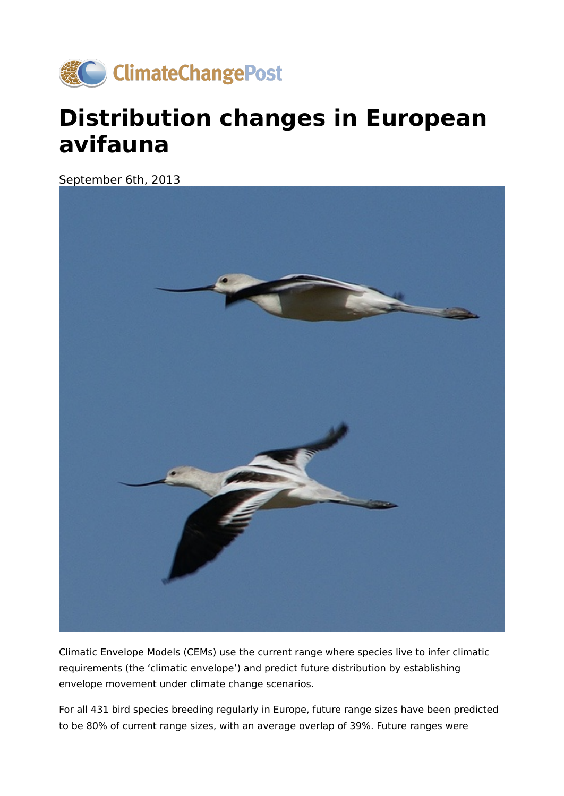

## **Distribution changes in European avifauna**

September 6th, 2013



Climatic Envelope Models (CEMs) use the current range where species live to infer climatic requirements (the 'climatic envelope') and predict future distribution by establishing envelope movement under climate change scenarios.

For all 431 bird species breeding regularly in Europe, future range sizes have been predicted to be 80% of current range sizes, with an average overlap of 39%. Future ranges were